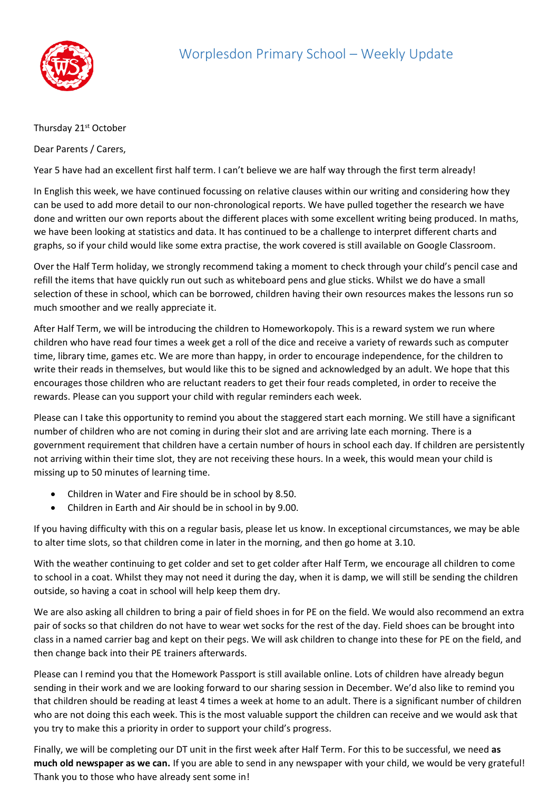

## Thursday 21<sup>st</sup> October

Dear Parents / Carers,

Year 5 have had an excellent first half term. I can't believe we are half way through the first term already!

In English this week, we have continued focussing on relative clauses within our writing and considering how they can be used to add more detail to our non-chronological reports. We have pulled together the research we have done and written our own reports about the different places with some excellent writing being produced. In maths, we have been looking at statistics and data. It has continued to be a challenge to interpret different charts and graphs, so if your child would like some extra practise, the work covered is still available on Google Classroom.

Over the Half Term holiday, we strongly recommend taking a moment to check through your child's pencil case and refill the items that have quickly run out such as whiteboard pens and glue sticks. Whilst we do have a small selection of these in school, which can be borrowed, children having their own resources makes the lessons run so much smoother and we really appreciate it.

After Half Term, we will be introducing the children to Homeworkopoly. This is a reward system we run where children who have read four times a week get a roll of the dice and receive a variety of rewards such as computer time, library time, games etc. We are more than happy, in order to encourage independence, for the children to write their reads in themselves, but would like this to be signed and acknowledged by an adult. We hope that this encourages those children who are reluctant readers to get their four reads completed, in order to receive the rewards. Please can you support your child with regular reminders each week.

Please can I take this opportunity to remind you about the staggered start each morning. We still have a significant number of children who are not coming in during their slot and are arriving late each morning. There is a government requirement that children have a certain number of hours in school each day. If children are persistently not arriving within their time slot, they are not receiving these hours. In a week, this would mean your child is missing up to 50 minutes of learning time.

- Children in Water and Fire should be in school by 8.50.
- Children in Earth and Air should be in school in by 9.00.

If you having difficulty with this on a regular basis, please let us know. In exceptional circumstances, we may be able to alter time slots, so that children come in later in the morning, and then go home at 3.10.

With the weather continuing to get colder and set to get colder after Half Term, we encourage all children to come to school in a coat. Whilst they may not need it during the day, when it is damp, we will still be sending the children outside, so having a coat in school will help keep them dry.

We are also asking all children to bring a pair of field shoes in for PE on the field. We would also recommend an extra pair of socks so that children do not have to wear wet socks for the rest of the day. Field shoes can be brought into class in a named carrier bag and kept on their pegs. We will ask children to change into these for PE on the field, and then change back into their PE trainers afterwards.

Please can I remind you that the Homework Passport is still available online. Lots of children have already begun sending in their work and we are looking forward to our sharing session in December. We'd also like to remind you that children should be reading at least 4 times a week at home to an adult. There is a significant number of children who are not doing this each week. This is the most valuable support the children can receive and we would ask that you try to make this a priority in order to support your child's progress.

Finally, we will be completing our DT unit in the first week after Half Term. For this to be successful, we need **as much old newspaper as we can.** If you are able to send in any newspaper with your child, we would be very grateful! Thank you to those who have already sent some in!